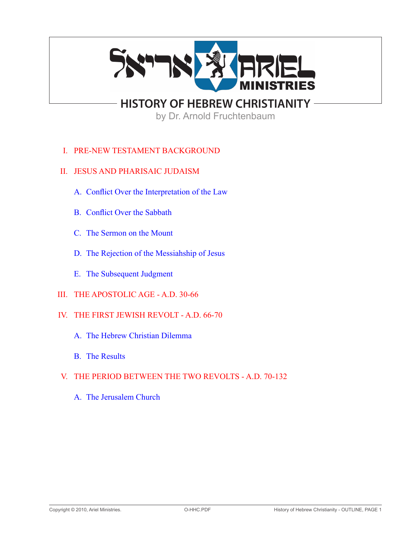

**HISTORY OF HEBREW CHRISTIANITY**

by Dr. Arnold Fruchtenbaum

- I. PRE-NEW TESTAMENT BACKGROUND
- II. JESUS AND PHARISAIC JUDAISM
	- A. Conflict Over the Interpretation of the Law
	- B. Conflict Over the Sabbath
	- C. The Sermon on the Mount
	- D. The Rejection of the Messiahship of Jesus
	- E. The Subsequent Judgment
- III. THE APOSTOLIC AGE A.D. 30-66
- IV. THE FIRST JEWISH REVOLT A.D. 66-70
	- A. The Hebrew Christian Dilemma
	- **B.** The Results

# V. THE PERIOD BETWEEN THE TWO REVOLTS - A.D. 70-132

 A. The Jerusalem Church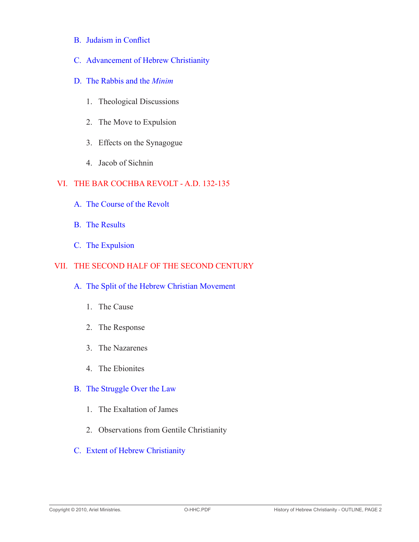- B. Judaism in Conflict
- C. Advancement of Hebrew Christianity
- D. The Rabbis and the *Minim*
	- 1. Theological Discussions
	- 2. The Move to Expulsion
	- 3. Effects on the Synagogue
	- 4. Jacob of Sichnin

# VI. THE BAR COCHBA REVOLT - A.D. 132-135

- A. The Course of the Revolt
- B. The Results
- C. The Expulsion

# VII. THE SECOND HALF OF THE SECOND CENTURY

#### A. The Split of the Hebrew Christian Movement

- 1. The Cause
- 2. The Response
- 3. The Nazarenes
- 4. The Ebionites

# B. The Struggle Over the Law

- 1. The Exaltation of James
- 2. Observations from Gentile Christianity
- C. Extent of Hebrew Christianity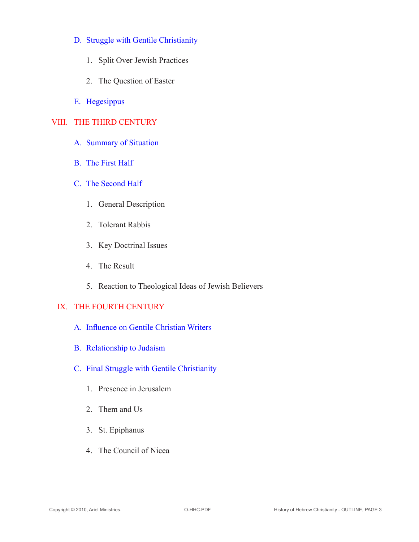#### D. Struggle with Gentile Christianity

- 1. Split Over Jewish Practices
- 2. The Question of Easter
- E. Hegesippus

# VIII. THE THIRD CENTURY

- A. Summary of Situation
- B. The First Half
- C. The Second Half
	- 1. General Description
	- 2. Tolerant Rabbis
	- 3. Key Doctrinal Issues
	- 4. The Result
	- 5. Reaction to Theological Ideas of Jewish Believers

# IX. THE FOURTH CENTURY

- A. Influence on Gentile Christian Writers
- B. Relationship to Judaism
- C. Final Struggle with Gentile Christianity
	- 1. Presence in Jerusalem
	- 2. Them and Us
	- 3. St. Epiphanus
	- 4. The Council of Nicea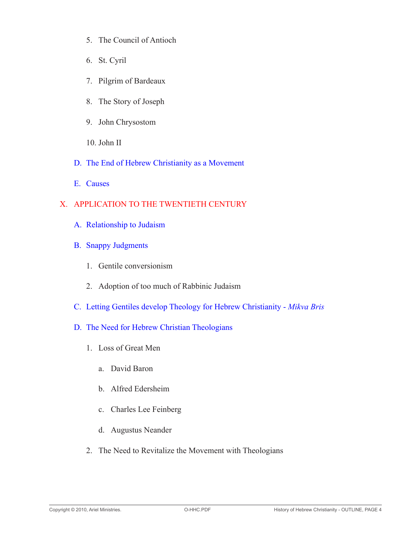- 5. The Council of Antioch
- 6. St. Cyril
- 7. Pilgrim of Bardeaux
- 8. The Story of Joseph
- 9. John Chrysostom
- 10. John II
- D. The End of Hebrew Christianity as a Movement
- E. Causes

# X. APPLICATION TO THE TWENTIETH CENTURY

- A. Relationship to Judaism
- B. Snappy Judgments
	- 1. Gentile conversionism
	- 2. Adoption of too much of Rabbinic Judaism
- C. Letting Gentiles develop Theology for Hebrew Christianity *Mikva Bris*
- D. The Need for Hebrew Christian Theologians
	- 1. Loss of Great Men
		- a. David Baron
		- b. Alfred Edersheim
		- c. Charles Lee Feinberg
		- d. Augustus Neander
	- 2. The Need to Revitalize the Movement with Theologians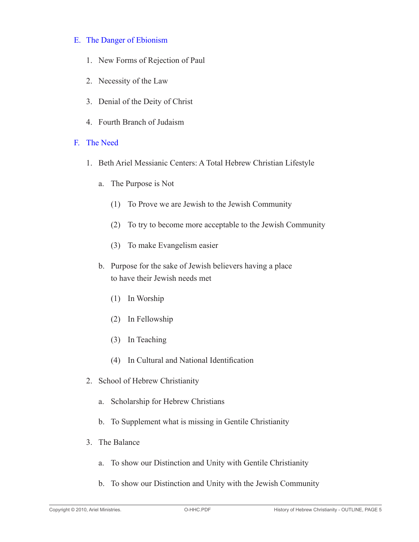#### E. The Danger of Ebionism

- 1. New Forms of Rejection of Paul
- 2. Necessity of the Law
- 3. Denial of the Deity of Christ
- 4. Fourth Branch of Judaism
- F. The Need
	- 1. Beth Ariel Messianic Centers: A Total Hebrew Christian Lifestyle
		- a. The Purpose is Not
			- (1) To Prove we are Jewish to the Jewish Community
			- (2) To try to become more acceptable to the Jewish Community
			- (3) To make Evangelism easier
		- b. Purpose for the sake of Jewish believers having a place to have their Jewish needs met
			- (1) In Worship
			- (2) In Fellowship
			- (3) In Teaching
			- (4) In Cultural and National Identification
	- 2. School of Hebrew Christianity
		- a. Scholarship for Hebrew Christians
		- b. To Supplement what is missing in Gentile Christianity
	- 3. The Balance
		- a. To show our Distinction and Unity with Gentile Christianity
		- b. To show our Distinction and Unity with the Jewish Community